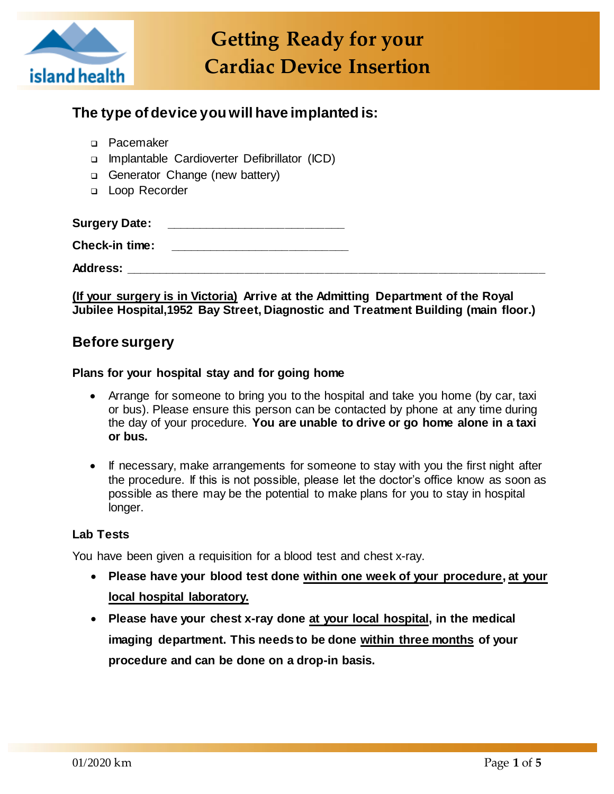

# **The type of device you will have implanted is:**

- D Pacemaker
- Implantable Cardioverter Defibrillator (ICD)
- Generator Change (new battery)
- D Loop Recorder

**Surgery Date: \_\_\_\_\_\_\_\_\_\_\_\_\_\_\_\_\_\_\_\_\_\_\_\_\_\_\_**

**Check-in time: \_\_\_\_\_\_\_\_\_\_\_\_\_\_\_\_\_\_\_\_\_\_\_\_\_\_\_**

**Address: \_\_\_\_\_\_\_\_\_\_\_\_\_\_\_\_\_\_\_\_\_\_\_\_\_\_\_\_\_\_\_\_\_\_\_\_\_\_\_\_\_\_\_\_\_\_\_\_\_\_\_\_\_\_\_\_\_\_\_\_\_\_\_**

**(If your surgery is in Victoria) Arrive at the Admitting Department of the Royal Jubilee Hospital,1952 Bay Street, Diagnostic and Treatment Building (main floor.)**

# **Before surgery**

#### **Plans for your hospital stay and for going home**

- Arrange for someone to bring you to the hospital and take you home (by car, taxi or bus). Please ensure this person can be contacted by phone at any time during the day of your procedure. **You are unable to drive or go home alone in a taxi or bus.**
- If necessary, make arrangements for someone to stay with you the first night after the procedure. If this is not possible, please let the doctor's office know as soon as possible as there may be the potential to make plans for you to stay in hospital longer.

#### **Lab Tests**

You have been given a requisition for a blood test and chest x-ray.

- **Please have your blood test done within one week of your procedure, at your local hospital laboratory.**
- **Please have your chest x-ray done at your local hospital, in the medical imaging department. This needs to be done within three months of your procedure and can be done on a drop-in basis.**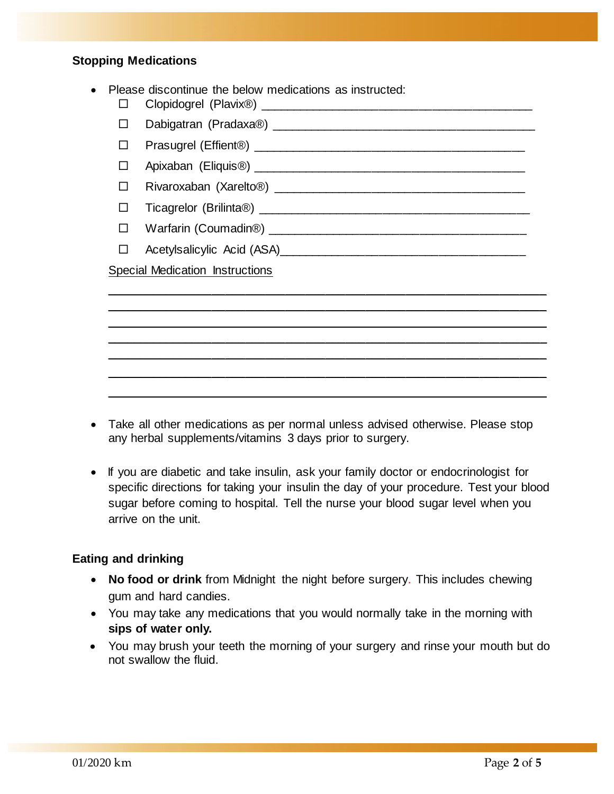#### **Stopping Medications**

|  | Please discontinue the below medications as instructed: |  |  |  |
|--|---------------------------------------------------------|--|--|--|
|--|---------------------------------------------------------|--|--|--|

- Clopidogrel (Plavix®) \_\_\_\_\_\_\_\_\_\_\_\_\_\_\_\_\_\_\_\_\_\_\_\_\_\_\_\_\_\_\_\_\_\_\_\_\_\_\_\_\_
- $\Box$  Dabigatran (Pradaxa®)  $\Box$  Dabigatran (Pradaxa®)
- Prasugrel (Effient®) \_\_\_\_\_\_\_\_\_\_\_\_\_\_\_\_\_\_\_\_\_\_\_\_\_\_\_\_\_\_\_\_\_\_\_\_\_\_\_\_\_
- Apixaban (Eliquis®) \_\_\_\_\_\_\_\_\_\_\_\_\_\_\_\_\_\_\_\_\_\_\_\_\_\_\_\_\_\_\_\_\_\_\_\_\_\_\_\_\_

Rivaroxaban (Xarelto®) \_\_\_\_\_\_\_\_\_\_\_\_\_\_\_\_\_\_\_\_\_\_\_\_\_\_\_\_\_\_\_\_\_\_\_\_\_\_

- $\Box$  Ticagrelor (Brilinta®)  $\Box$  Ticagrelor (Brilinta®)
- Warfarin (Coumadin®) \_\_\_\_\_\_\_\_\_\_\_\_\_\_\_\_\_\_\_\_\_\_\_\_\_\_\_\_\_\_\_\_\_\_\_\_\_\_\_
- □ Acetylsalicylic Acid (ASA)

Special Medication Instructions

 Take all other medications as per normal unless advised otherwise. Please stop any herbal supplements/vitamins 3 days prior to surgery.

\_\_\_\_\_\_\_\_\_\_\_\_\_\_\_\_\_\_\_\_\_\_\_\_\_\_\_\_\_\_\_\_\_\_\_\_\_\_\_\_\_\_\_\_\_\_\_\_\_\_\_\_\_\_\_\_\_\_\_\_\_\_\_\_\_\_ \_\_\_\_\_\_\_\_\_\_\_\_\_\_\_\_\_\_\_\_\_\_\_\_\_\_\_\_\_\_\_\_\_\_\_\_\_\_\_\_\_\_\_\_\_\_\_\_\_\_\_\_\_\_\_\_\_\_\_\_\_\_\_\_\_\_ \_\_\_\_\_\_\_\_\_\_\_\_\_\_\_\_\_\_\_\_\_\_\_\_\_\_\_\_\_\_\_\_\_\_\_\_\_\_\_\_\_\_\_\_\_\_\_\_\_\_\_\_\_\_\_\_\_\_\_\_\_\_\_\_\_\_ \_\_\_\_\_\_\_\_\_\_\_\_\_\_\_\_\_\_\_\_\_\_\_\_\_\_\_\_\_\_\_\_\_\_\_\_\_\_\_\_\_\_\_\_\_\_\_\_\_\_\_\_\_\_\_\_\_\_\_\_\_\_\_\_\_\_ \_\_\_\_\_\_\_\_\_\_\_\_\_\_\_\_\_\_\_\_\_\_\_\_\_\_\_\_\_\_\_\_\_\_\_\_\_\_\_\_\_\_\_\_\_\_\_\_\_\_\_\_\_\_\_\_\_\_\_\_\_\_\_\_\_\_ \_\_\_\_\_\_\_\_\_\_\_\_\_\_\_\_\_\_\_\_\_\_\_\_\_\_\_\_\_\_\_\_\_\_\_\_\_\_\_\_\_\_\_\_\_\_\_\_\_\_\_\_\_\_\_\_\_\_\_\_\_\_\_\_\_\_ \_\_\_\_\_\_\_\_\_\_\_\_\_\_\_\_\_\_\_\_\_\_\_\_\_\_\_\_\_\_\_\_\_\_\_\_\_\_\_\_\_\_\_\_\_\_\_\_\_\_\_\_\_\_\_\_\_\_\_\_\_\_\_\_\_\_

• If you are diabetic and take insulin, ask your family doctor or endocrinologist for specific directions for taking your insulin the day of your procedure. Test your blood sugar before coming to hospital. Tell the nurse your blood sugar level when you arrive on the unit.

#### **Eating and drinking**

- **No food or drink** from Midnight the night before surgery. This includes chewing gum and hard candies.
- You may take any medications that you would normally take in the morning with **sips of water only.**
- You may brush your teeth the morning of your surgery and rinse your mouth but do not swallow the fluid.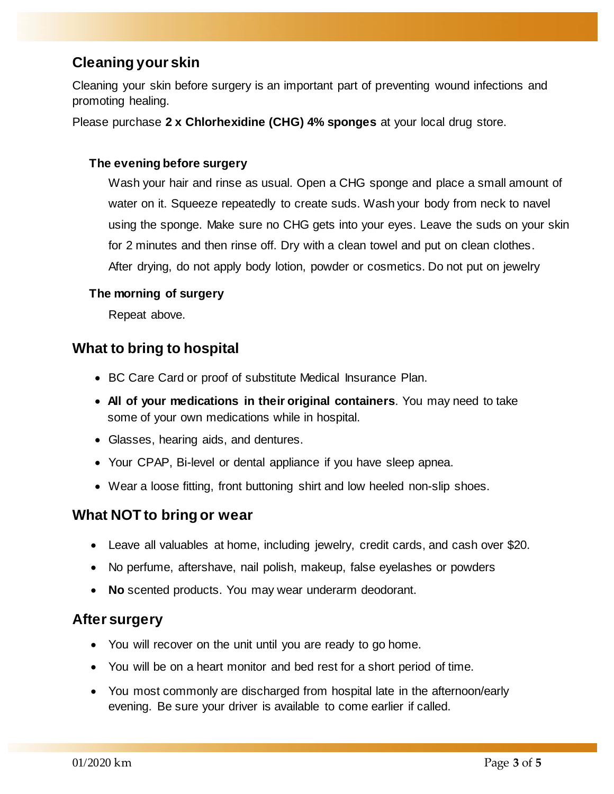# **Cleaning your skin**

Cleaning your skin before surgery is an important part of preventing wound infections and promoting healing.

Please purchase **2 x Chlorhexidine (CHG) 4% sponges** at your local drug store.

#### **The evening before surgery**

Wash your hair and rinse as usual. Open a CHG sponge and place a small amount of water on it. Squeeze repeatedly to create suds. Wash your body from neck to navel using the sponge. Make sure no CHG gets into your eyes. Leave the suds on your skin for 2 minutes and then rinse off. Dry with a clean towel and put on clean clothes. After drying, do not apply body lotion, powder or cosmetics. Do not put on jewelry

#### **The morning of surgery**

Repeat above.

# **What to bring to hospital**

- BC Care Card or proof of substitute Medical Insurance Plan.
- **All of your medications in their original containers**. You may need to take some of your own medications while in hospital.
- Glasses, hearing aids, and dentures.
- Your CPAP, Bi-level or dental appliance if you have sleep apnea.
- Wear a loose fitting, front buttoning shirt and low heeled non-slip shoes.

## **What NOT to bring or wear**

- Leave all valuables at home, including jewelry, credit cards, and cash over \$20.
- No perfume, aftershave, nail polish, makeup, false eyelashes or powders
- **No** scented products. You may wear underarm deodorant.

## **After surgery**

- You will recover on the unit until you are ready to go home.
- You will be on a heart monitor and bed rest for a short period of time.
- You most commonly are discharged from hospital late in the afternoon/early evening. Be sure your driver is available to come earlier if called.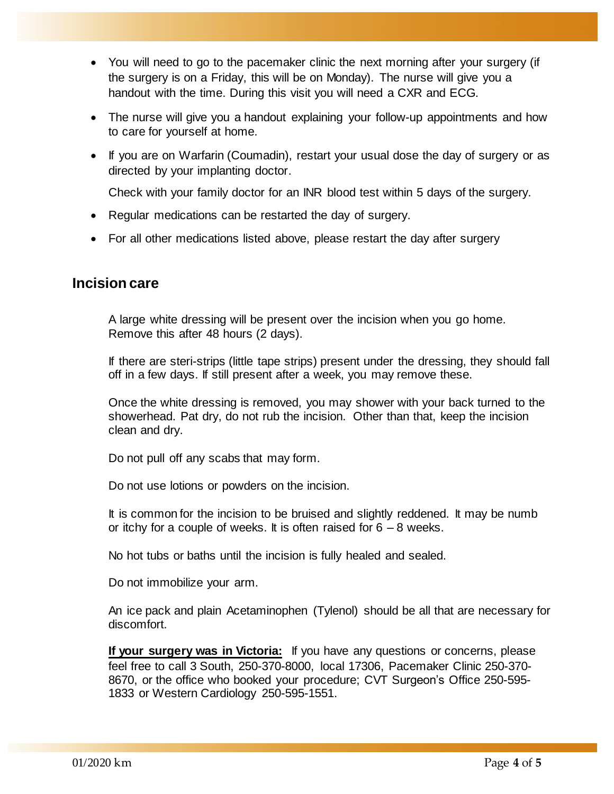- You will need to go to the pacemaker clinic the next morning after your surgery (if the surgery is on a Friday, this will be on Monday). The nurse will give you a handout with the time. During this visit you will need a CXR and ECG.
- The nurse will give you a handout explaining your follow-up appointments and how to care for yourself at home.
- If you are on Warfarin (Coumadin), restart your usual dose the day of surgery or as directed by your implanting doctor.

Check with your family doctor for an INR blood test within 5 days of the surgery.

- Regular medications can be restarted the day of surgery.
- For all other medications listed above, please restart the day after surgery

### **Incision care**

A large white dressing will be present over the incision when you go home. Remove this after 48 hours (2 days).

If there are steri-strips (little tape strips) present under the dressing, they should fall off in a few days. If still present after a week, you may remove these.

Once the white dressing is removed, you may shower with your back turned to the showerhead. Pat dry, do not rub the incision. Other than that, keep the incision clean and dry.

Do not pull off any scabs that may form.

Do not use lotions or powders on the incision.

It is common for the incision to be bruised and slightly reddened. It may be numb or itchy for a couple of weeks. It is often raised for  $6 - 8$  weeks.

No hot tubs or baths until the incision is fully healed and sealed.

Do not immobilize your arm.

An ice pack and plain Acetaminophen (Tylenol) should be all that are necessary for discomfort.

**If your surgery was in Victoria:** If you have any questions or concerns, please feel free to call 3 South, 250-370-8000, local 17306, Pacemaker Clinic 250-370- 8670, or the office who booked your procedure; CVT Surgeon's Office 250-595- 1833 or Western Cardiology 250-595-1551.